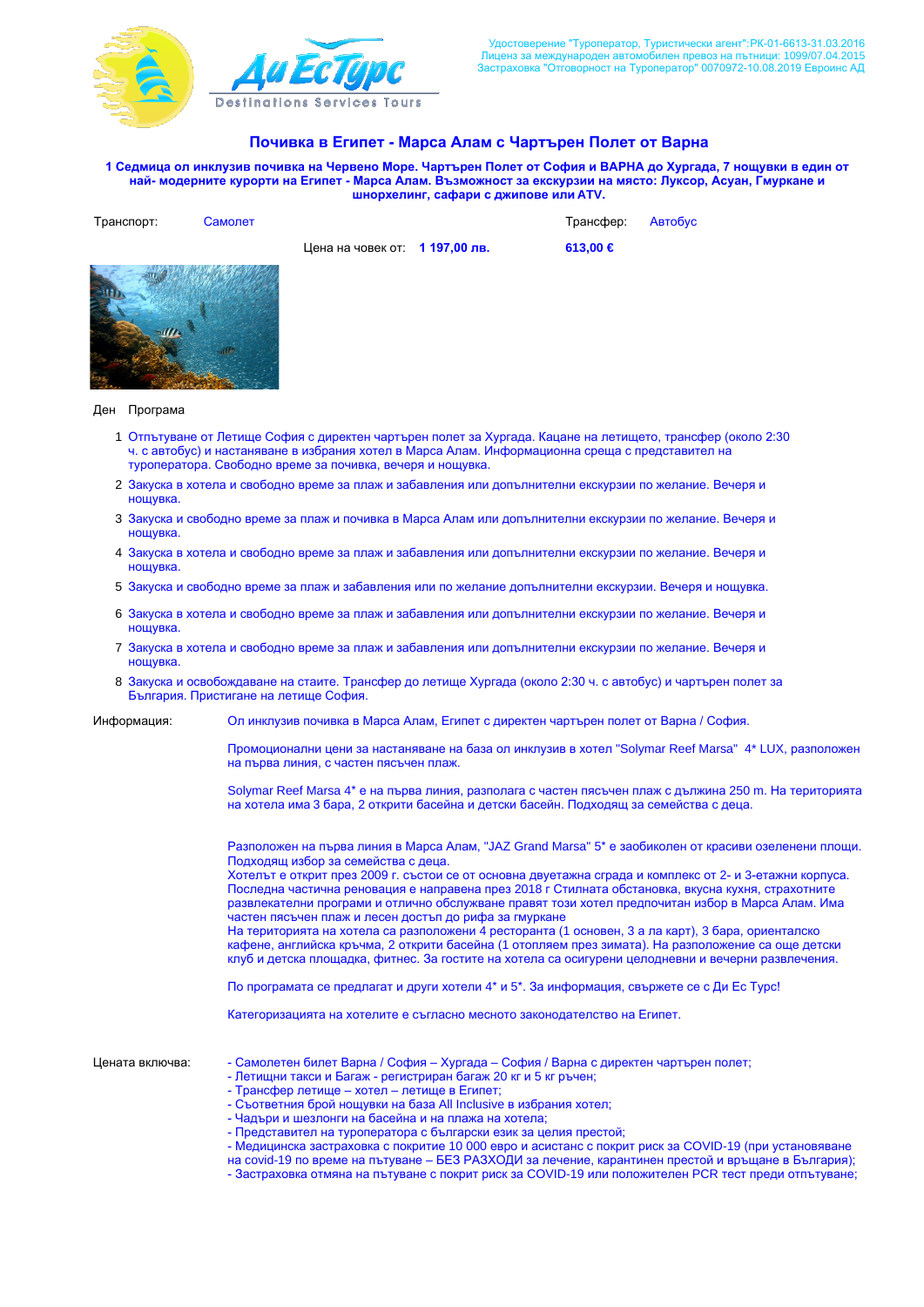

## Почивка в Египет - Марса Алам с Чартърен Полет от Варна

1 Седмица ол инклузив почивка на Червено Море. Чартърен Полет от София и ВАРНА до Хургада, 7 нощувки в един от Hай- модерните курорти на Египет - Марса Алам. Възможност за екскурзии на място: Луксор, Асуан, Гмуркане и шнорхелинг, сафари с джипове или ATV.

| Транспорт: | Самолет |                                | Трансфер: | Автобус |
|------------|---------|--------------------------------|-----------|---------|
|            |         | Цена на човек от: 1 197,00 лв. | 613,00 €  |         |
|            |         |                                |           |         |

## Ден Програма

- 1 Отпътуване от Летище София с директен чартърен полет за Хургада. Кацане на летището, трансфер (около 2:30 ч. с автобус) и настаняване в избрания хотел в Марса Алам. Информационна среща с представител на туроператора. Свободно време за почивка, вечеря и нощувка.
- 2 Закуска в хотела и свободно време за плаж и забавления или допълнителни екскурзии по желание. Вечеря и ношувка.
- 3 Закуска и свободно време за плаж и почивка в Марса Алам или допълнителни екскурзии по желание. Вечеря и нощувка.
- 4 Закуска в хотела и свободно време за плаж и забавления или допълнителни екскурзии по желание. Вечеря и нощувка.
- 5 Закуска и свободно време за плаж и забавления или по желание допълнителни екскурзии. Вечеря и нощувка.
- 6 Закуска в хотела и свободно време за плаж и забавления или допълнителни екскурзии по желание. Вечеря и ношувка
- 7 Закуска в хотела и свободно време за плаж и забавления или допълнителни екскурзии по желание. Вечеря и ношувка
- 8 Закуска и освобождаване на стаите. Трансфер до летище Хургада (около 2:30 ч. с автобус) и чартърен полет за България. Пристигане на летище София.
- Информация: Ол инклузив почивка в Марса Алам, Египет с директен чартърен полет от Варна / София.

Промоционални цени за настаняване на база ол инклузив в хотел "Solymar Reef Marsa" 4\* LUX, разположен на първа линия, с частен пясъчен плаж.

Solymar Reef Marsa 4\* е на първа линия, разполага с частен пясъчен плаж с дължина 250 m. На територията на хотела има 3 бара, 2 открити басейна и детски басейн. Подходящ за семейства с деца.

Pазположен на първа линия в Марса Алам. "JAZ Grand Marsa" 5\* е заобиколен от красиви озеленени площи. Подходящ избор за семейства с деца.

Хотельт е открит през 2009 г. състои се от основна двуетажна сграда и комплекс от 2- и 3-етажни корпуса. Последна частична реновация е направена през 2018 г Стилната обстановка, вкусна кухня, страхотните развлекателни програми и отлично обслужване правят този хотел предпочитан избор в Марса Алам. Има настен пясъчен плаж и лесен достъп до рифа за гмуркане

На територията на хотела са разположени 4 ресторанта (1 основен, 3 а ла карт), 3 бара, ориенталско кафене, английска кръчма, 2 открити басейна (1 отопляем през зимата). На разположение са още детски клуб и детска площадка, фитнес. За гостите на хотела са осигурени целодневни и вечерни развлечения.

По програмата се предлагат и други хотели 4\* и 5\*. За информация, свържете се с Ди Ес Турс!

Категоризацията на хотелите е съгласно месното законодателство на Египет.

- Цената включва: Самолетен билет Варна / София Хургада София / Варна с директен чартърен полет;
	- Летищни такси и Багаж регистриран багаж 20 кг и 5 кг ръчен;
	- Трансфер летище хотел летище в Египет;
	- Съответния брой нощувки на база All Inclusive в избрания хотел;
	- Чадъри и шезлонги на басейна и на плажа на хотела;
	- Представител на туроператора с български език за целия престой;
	- Медицинска застраховка с покритие 10 000 евро и асистанс с покрит риск за COVID-19 (при установяване
	- модицином состранение с направление в ВБЗ РАЗХОДИ за лечение, карантинен престой и връщане в България);
	- Застраховка отмяна на пътуване с покрит риск за COVID-19 или положителен PCR тест преди отпътуване;